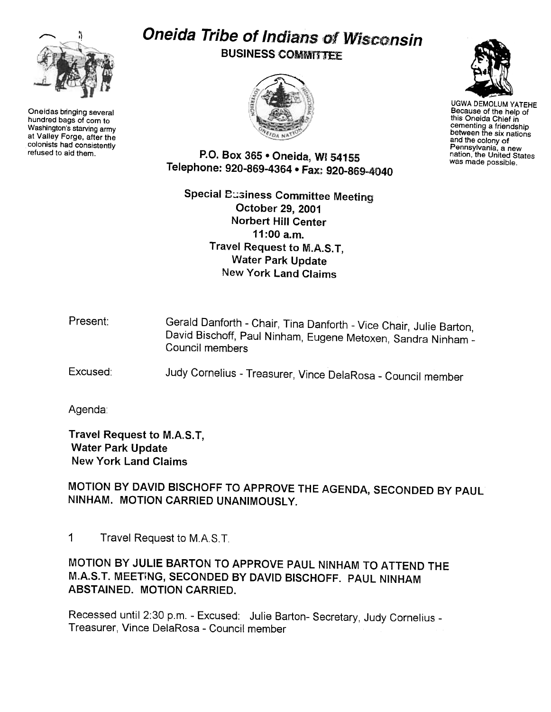

Oneidas bringing several hundred bags of corn to Washington's starving army at Valley Forge, after the colonists had consistently<br>refused to aid them.

# Oneida Tribe of Indians of Wisconsin **BUSINESS COMMITTEE**





UGWA DEMOLUM YATEHE Because of the help of this Oneida Chief in cementing a friendship between the six nations and the colony of Pennsylvania. a new nation, the United States was made possible.

P.O. Box 365 . Oneida, WI 54155 Telephone: 920-869-4364 · Fax: 920-869-4040

Special Business Committee Meeting October 29, 2001 Norbert Hill Center 11:00 a.m. Travel Request to M.A.S. T, Water Park Update New York Land Claims

| Present: | Gerald Danforth - Chair, Tina Danforth - Vice Chair, Julie Barton,<br>David Bischoff, Paul Ninham, Eugene Metoxen, Sandra Ninham -<br>Council members |
|----------|-------------------------------------------------------------------------------------------------------------------------------------------------------|
|          |                                                                                                                                                       |

Excused: Judy Cornelius -Treasurer, Vince DelaRosa -Council member

Agenda:

Travel Request to M.A.S. T, Water Park Update New York land Claims

MOTION BY DAVID BISCHOFF TO APPROVE THE AGENDA, SECONDED BY PAUL NINHAM. MOTION CARRIED UNANIMOUSLY.

1 Travel Request to M.A.S. T.

MOTION BY JULIE BARTON TO APPROVE PAUL NINHAM TO ATTEND THE M.A.S.T. MEETING, SECONDED BY DAVID BISCHOFF. PAUL NINHAM ABSTAINED. MOTION CARRIED.

Recessed until 2:30 p.m. - Excused: Julie Barton- Secretary, Judy Cornelius -Treasurer, Vince DelaRosa -Council member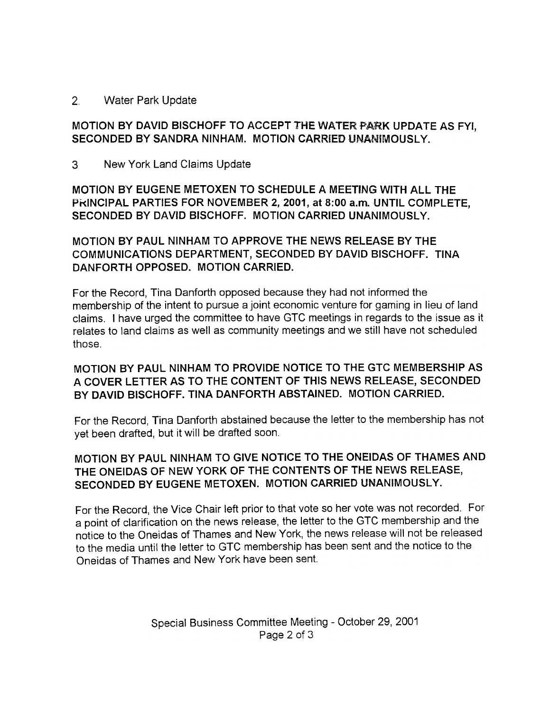#### 2. Water Park Update

## MOTION BY DAVID BISCHOFF TO ACCEPT THE WATER PARK UPDATE AS FYI, SECONDED BY SANDRA NINHAM. MOTION CARRIED UNANIMOUSLY.

3 New York land Claims Update

MOTION BY EUGENE METOXEN TO SCHEDULE A MEETING WITH ALL THE PKINCIPAL PARTIES FOR NOVEMBER 2,2001, at 8:00 a.m. UNTIL COMPLETE, SECONDED BY DAVID BISCHOFF. MOTION CARRIED UNANIMOUSLY.

MOTION BY PAUL NINHAM TO APPROVE THE NEWS RELEASE BY THE COMMUNICATIONS DEPARTMENT, SECONDED BY DAVID BISCHOFF. TINA DANFORTH OPPOSED. MOTION CARRIED.

For the Record, Tina Danforth opposed because they had not informed the membership of the intent to pursue a joint economic venture for gaming in lieu of land claims. I have urged the committee to have GTC meetings in regards to the issue as it relates to land claims as well as community meetings and we still have not scheduled those.

#### MOTION BY PAUL NINHAM TO PROVIDE NOTICE TO THE GTC MEMBERSHIP AS A COVER LETTER AS TO THE CONTENT OF THIS NEWS RELEASE, SECONDED BY DAVID BISCHOFF. TINA DANFORTH ABSTAINED. MOTION CARRIED.

For the Record, Tina Danforth abstained because the letter to the membership has not yet been drafted, but it will be drafted soon.

## MOTION BY PAUL NINHAM TO GIVE NOTICE TO THE ONEIDAS OF THAMES AND THE ONEIDAS OF NEW YORK OF THE CONTENTS OF THE NEWS RELEASE, SECONDED BY EUGENE METOXEN. MOTION CARRIED UNANIMOUSLY.

For the Record, the Vice Chair left prior to that vote so her vote was not recorded. For a point of clarification on the news release, the letter to the GTC membership and the notice to the Oneidas of Thames and New York, the news release will not be released to the media until the letter to GTC membership has been sent and the notice to the Oneidas of Thames and New York have been sent.